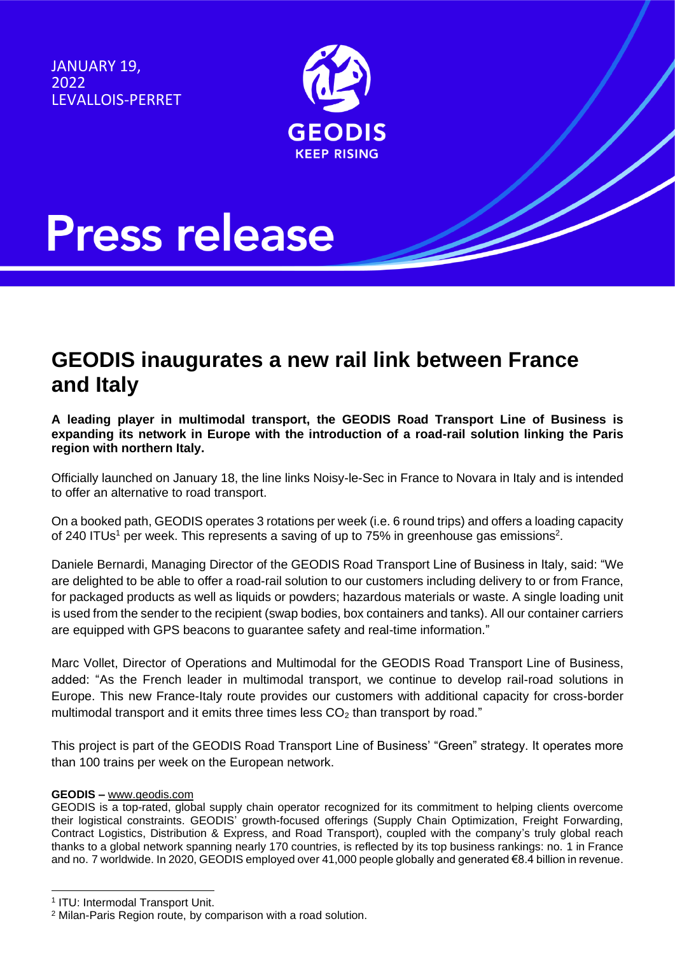JANUARY 19, 2022 LEVALLOIS-PERRET



# **Press release**

### **GEODIS inaugurates a new rail link between France and Italy**

**A leading player in multimodal transport, the GEODIS Road Transport Line of Business is expanding its network in Europe with the introduction of a road-rail solution linking the Paris region with northern Italy.**

Officially launched on January 18, the line links Noisy-le-Sec in France to Novara in Italy and is intended to offer an alternative to road transport.

On a booked path, GEODIS operates 3 rotations per week (i.e. 6 round trips) and offers a loading capacity of 240 ITUs<sup>1</sup> per week. This represents a saving of up to 75% in greenhouse gas emissions<sup>2</sup>.

Daniele Bernardi, Managing Director of the GEODIS Road Transport Line of Business in Italy, said: "We are delighted to be able to offer a road-rail solution to our customers including delivery to or from France, for packaged products as well as liquids or powders; hazardous materials or waste. A single loading unit is used from the sender to the recipient (swap bodies, box containers and tanks). All our container carriers are equipped with GPS beacons to guarantee safety and real-time information."

Marc Vollet, Director of Operations and Multimodal for the GEODIS Road Transport Line of Business, added: "As the French leader in multimodal transport, we continue to develop rail-road solutions in Europe. This new France-Italy route provides our customers with additional capacity for cross-border multimodal transport and it emits three times less  $CO<sub>2</sub>$  than transport by road."

This project is part of the GEODIS Road Transport Line of Business' "Green" strategy. It operates more than 100 trains per week on the European network.

#### **GEODIS –** [www.geodis.com](http://www.geodis.com/)

GEODIS is a top-rated, global supply chain operator recognized for its commitment to helping clients overcome their logistical constraints. GEODIS' growth-focused offerings (Supply Chain Optimization, Freight Forwarding, Contract Logistics, Distribution & Express, and Road Transport), coupled with the company's truly global reach thanks to a global network spanning nearly 170 countries, is reflected by its top business rankings: no. 1 in France and no. 7 worldwide. In 2020, GEODIS employed over 41,000 people globally and generated €8.4 billion in revenue.

<sup>1</sup> ITU: Intermodal Transport Unit.

<sup>2</sup> Milan-Paris Region route, by comparison with a road solution.